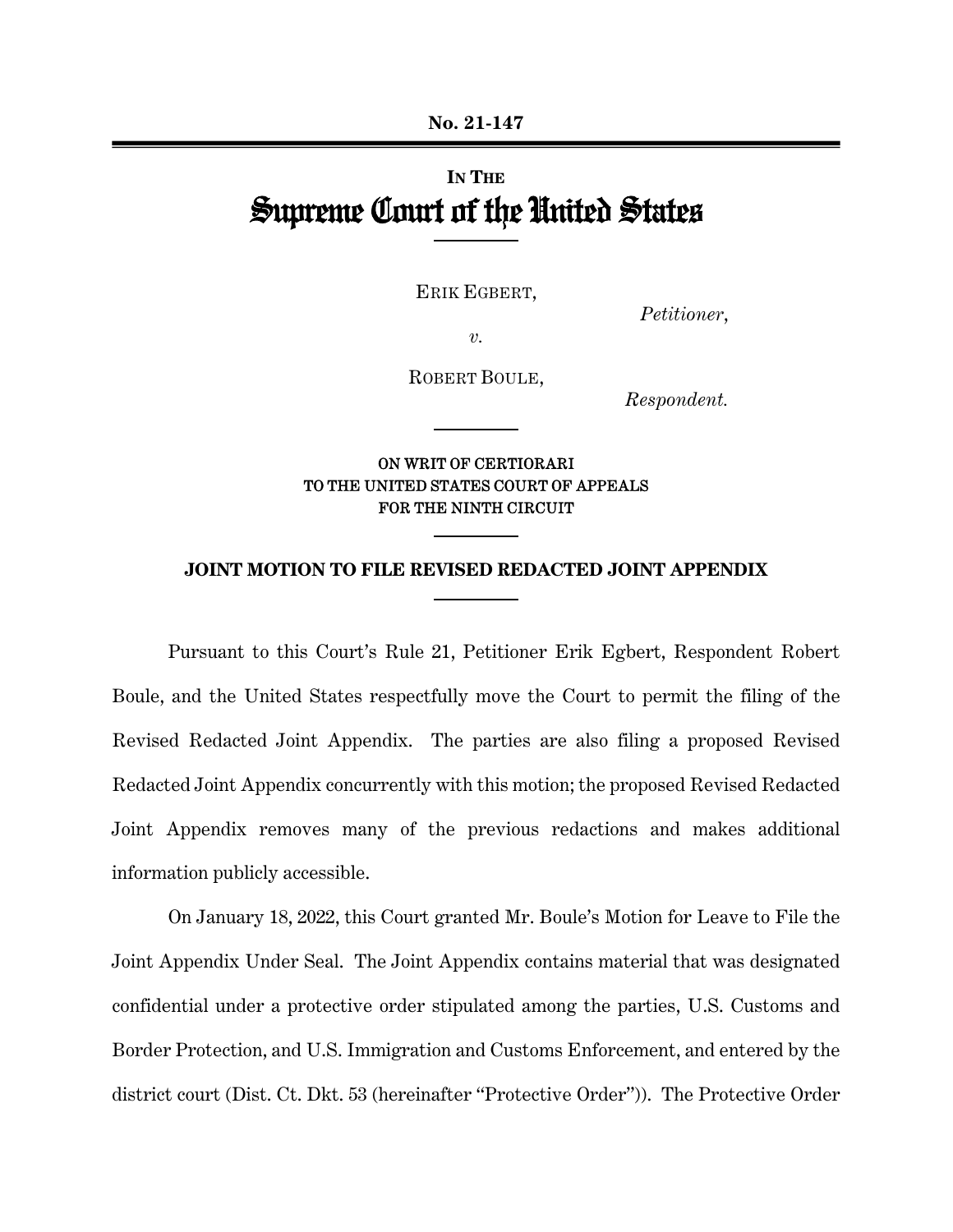# **IN THE** Supreme Court of the United States

ERIK EGBERT,

*Petitioner*,

*v.*

ROBERT BOULE,

*Respondent.*

## ON WRIT OF CERTIORARI TO THE UNITED STATES COURT OF APPEALS FOR THE NINTH CIRCUIT

#### **JOINT MOTION TO FILE REVISED REDACTED JOINT APPENDIX**

Pursuant to this Court's Rule 21, Petitioner Erik Egbert, Respondent Robert Boule, and the United States respectfully move the Court to permit the filing of the Revised Redacted Joint Appendix. The parties are also filing a proposed Revised Redacted Joint Appendix concurrently with this motion; the proposed Revised Redacted Joint Appendix removes many of the previous redactions and makes additional information publicly accessible.

On January 18, 2022, this Court granted Mr. Boule's Motion for Leave to File the Joint Appendix Under Seal. The Joint Appendix contains material that was designated confidential under a protective order stipulated among the parties, U.S. Customs and Border Protection, and U.S. Immigration and Customs Enforcement, and entered by the district court (Dist. Ct. Dkt. 53 (hereinafter "Protective Order")). The Protective Order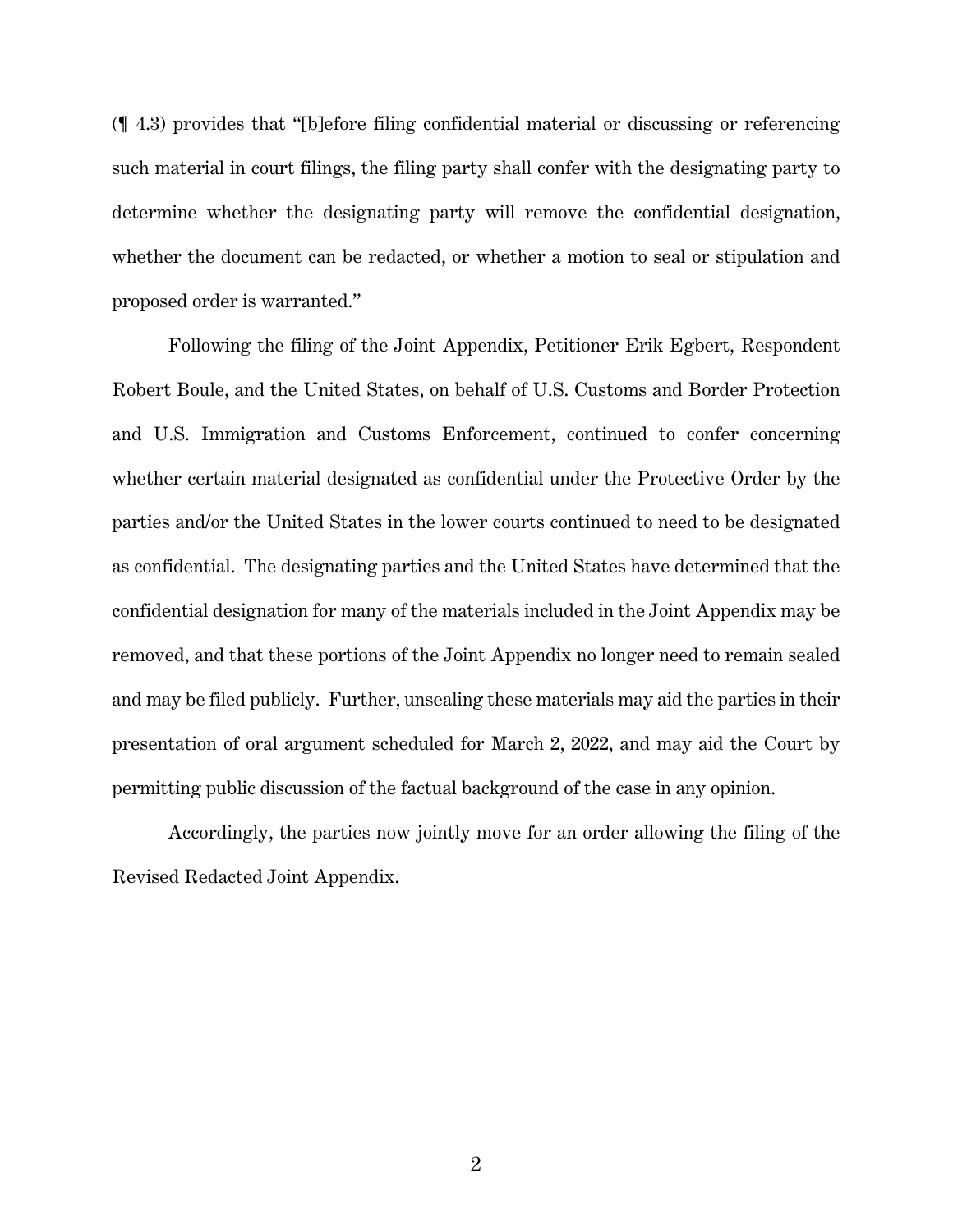(¶ 4.3) provides that "[b]efore filing confidential material or discussing or referencing such material in court filings, the filing party shall confer with the designating party to determine whether the designating party will remove the confidential designation, whether the document can be redacted, or whether a motion to seal or stipulation and proposed order is warranted."

Following the filing of the Joint Appendix, Petitioner Erik Egbert, Respondent Robert Boule, and the United States, on behalf of U.S. Customs and Border Protection and U.S. Immigration and Customs Enforcement, continued to confer concerning whether certain material designated as confidential under the Protective Order by the parties and/or the United States in the lower courts continued to need to be designated as confidential. The designating parties and the United States have determined that the confidential designation for many of the materials included in the Joint Appendix may be removed, and that these portions of the Joint Appendix no longer need to remain sealed and may be filed publicly. Further, unsealing these materials may aid the parties in their presentation of oral argument scheduled for March 2, 2022, and may aid the Court by permitting public discussion of the factual background of the case in any opinion.

Accordingly, the parties now jointly move for an order allowing the filing of the Revised Redacted Joint Appendix.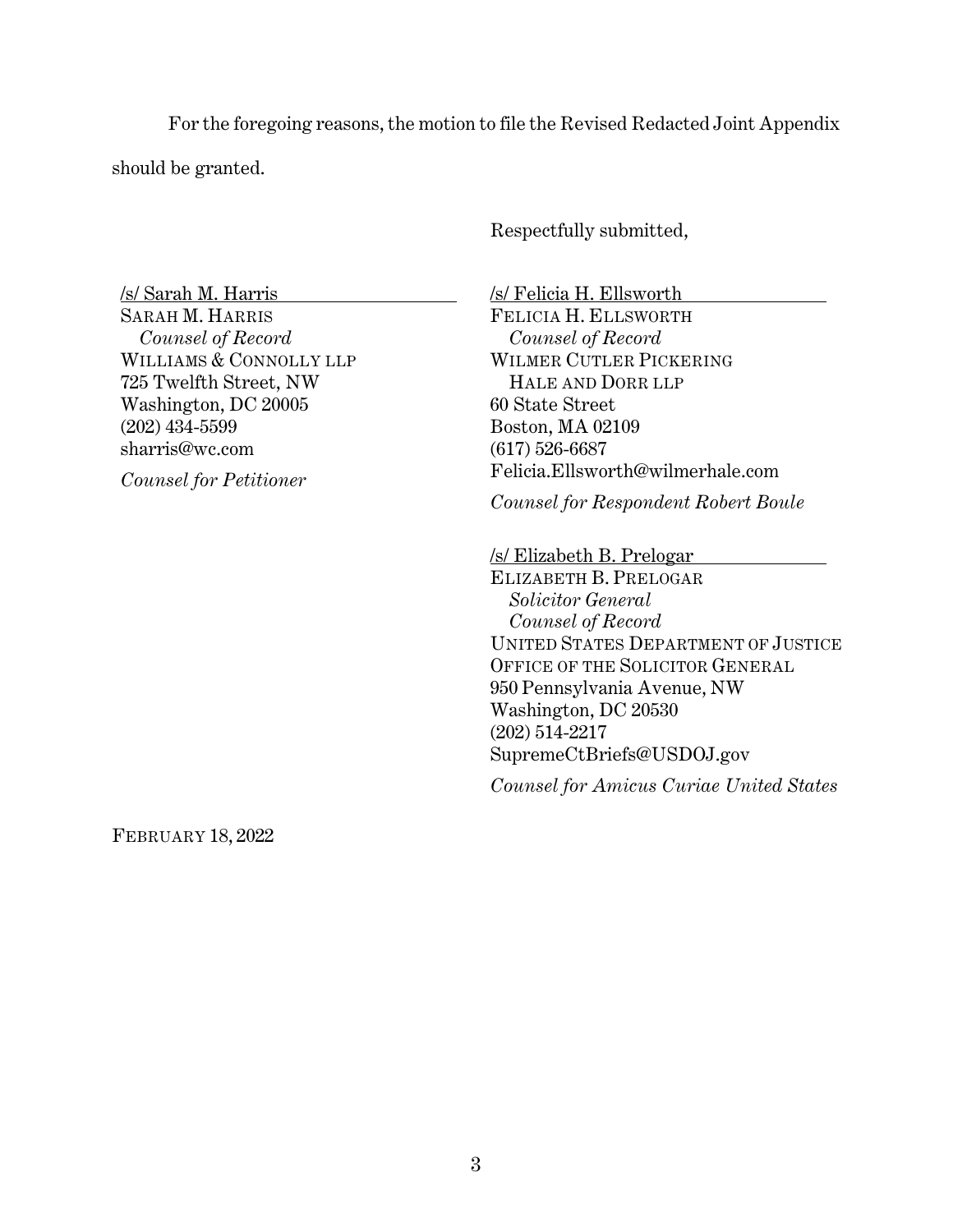For the foregoing reasons, the motion to file the Revised Redacted Joint Appendix should be granted.

Respectfully submitted,

/s/ Sarah M. Harris SARAH M. HARRIS *Counsel of Record* WILLIAMS & CONNOLLY LLP 725 Twelfth Street, NW Washington, DC 20005 (202) 434-5599 sharris@wc.com

*Counsel for Petitioner* 

/s/ Felicia H. Ellsworth FELICIA H. ELLSWORTH *Counsel of Record* WILMER CUTLER PICKERING HALE AND DORR LLP 60 State Street Boston, MA 02109 (617) 526-6687 Felicia.Ellsworth@wilmerhale.com

*Counsel for Respondent Robert Boule* 

/s/ Elizabeth B. Prelogar

ELIZABETH B. PRELOGAR *Solicitor General Counsel of Record* UNITED STATES DEPARTMENT OF JUSTICE OFFICE OF THE SOLICITOR GENERAL 950 Pennsylvania Avenue, NW Washington, DC 20530 (202) 514-2217 SupremeCtBriefs@USDOJ.gov

*Counsel for Amicus Curiae United States* 

FEBRUARY 18, 2022